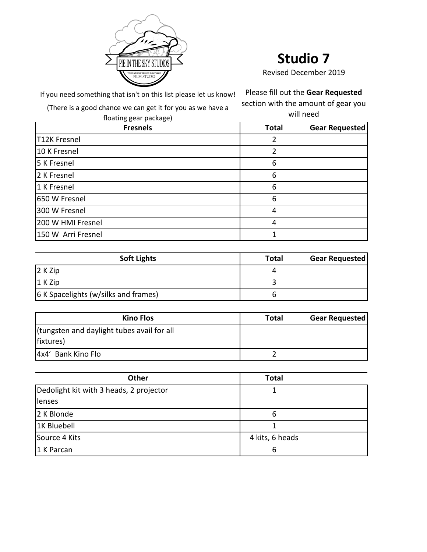

## **Studio 7**

Revised December 2019

If you need something that isn't on this list please let us know!

Please fill out the **Gear Requested** 

(There is a good chance we can get it for you as we have a

section with the amount of gear you will need

| floating gear package) | will need    |                       |
|------------------------|--------------|-----------------------|
| <b>Fresnels</b>        | <b>Total</b> | <b>Gear Requested</b> |
| <b>T12K Fresnel</b>    | 2            |                       |
| 10 K Fresnel           | 2            |                       |
| 5 K Fresnel            | 6            |                       |
| 2 K Fresnel            | 6            |                       |
| 1 K Fresnel            | 6            |                       |
| 650 W Fresnel          | 6            |                       |
| 300 W Fresnel          | 4            |                       |
| 200 W HMI Fresnel      | 4            |                       |
| 150 W Arri Fresnel     |              |                       |

| <b>Soft Lights</b>                   | <b>Total</b> | <b>Gear Requested</b> |
|--------------------------------------|--------------|-----------------------|
| 2 K Zip                              |              |                       |
| $1$ K Zip                            |              |                       |
| 6 K Spacelights (w/silks and frames) |              |                       |

| <b>Kino Flos</b>                           | <b>Total</b> | <b>Gear Requested</b> |
|--------------------------------------------|--------------|-----------------------|
| (tungsten and daylight tubes avail for all |              |                       |
| fixtures)                                  |              |                       |
| 4x4' Bank Kino Flo                         |              |                       |

| <b>Other</b>                            | <b>Total</b>    |  |
|-----------------------------------------|-----------------|--|
| Dedolight kit with 3 heads, 2 projector |                 |  |
| lenses                                  |                 |  |
| 2 K Blonde                              | 6               |  |
| 1K Bluebell                             |                 |  |
| Source 4 Kits                           | 4 kits, 6 heads |  |
| 1 K Parcan                              | 6               |  |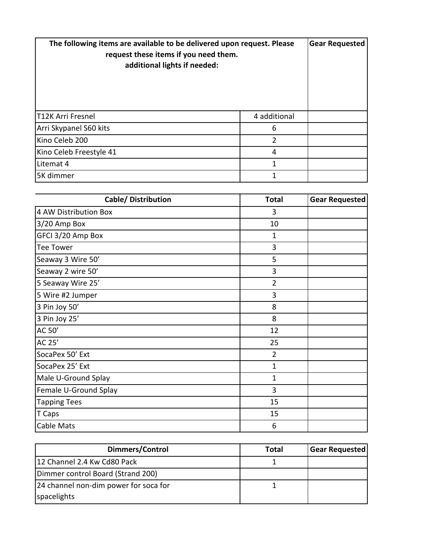| The following items are available to be delivered upon request. Please<br>request these items if you need them.<br>additional lights if needed: |               | <b>Gear Requested</b> |
|-------------------------------------------------------------------------------------------------------------------------------------------------|---------------|-----------------------|
| T12K Arri Fresnel                                                                                                                               | 4 additional  |                       |
| Arri Skypanel S60 kits                                                                                                                          | 6             |                       |
| Kino Celeb 200                                                                                                                                  | $\mathfrak z$ |                       |
| Kino Celeb Freestyle 41                                                                                                                         | 4             |                       |
| Litemat 4                                                                                                                                       | 1             |                       |
| 5K dimmer                                                                                                                                       |               |                       |

| Cable/ Distribution   | <b>Total</b>   | <b>Gear Requested</b> |
|-----------------------|----------------|-----------------------|
| 4 AW Distribution Box | 3              |                       |
| 3/20 Amp Box          | 10             |                       |
| GFCI 3/20 Amp Box     | 1              |                       |
| <b>Tee Tower</b>      | 3              |                       |
| Seaway 3 Wire 50'     | 5              |                       |
| Seaway 2 wire 50'     | 3              |                       |
| 5 Seaway Wire 25'     | $\overline{2}$ |                       |
| 5 Wire #2 Jumper      | 3              |                       |
| 3 Pin Joy 50'         | 8              |                       |
| 3 Pin Joy 25'         | 8              |                       |
| AC 50'                | 12             |                       |
| AC 25'                | 25             |                       |
| SocaPex 50' Ext       | $\overline{2}$ |                       |
| SocaPex 25' Ext       | $\mathbf{1}$   |                       |
| Male U-Ground Splay   | $\mathbf{1}$   |                       |
| Female U-Ground Splay | 3              |                       |
| <b>Tapping Tees</b>   | 15             |                       |
| T Caps                | 15             |                       |
| Cable Mats            | 6              |                       |

| Dimmers/Control                       | <b>Total</b> | <b>Gear Requested</b> |
|---------------------------------------|--------------|-----------------------|
| 12 Channel 2.4 Kw Cd80 Pack           |              |                       |
| Dimmer control Board (Strand 200)     |              |                       |
| 24 channel non-dim power for soca for |              |                       |
| spacelights                           |              |                       |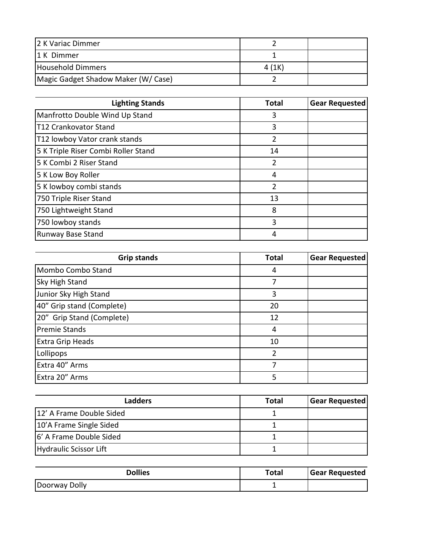| 2 K Variac Dimmer                   |        |  |
|-------------------------------------|--------|--|
| 1 K Dimmer                          |        |  |
| Household Dimmers                   | 4 (1K) |  |
| Magic Gadget Shadow Maker (W/ Case) |        |  |

| <b>Lighting Stands</b>              | <b>Total</b>   | <b>Gear Requested</b> |
|-------------------------------------|----------------|-----------------------|
| Manfrotto Double Wind Up Stand      | 3              |                       |
| T12 Crankovator Stand               | 3              |                       |
| T12 lowboy Vator crank stands       | $\overline{2}$ |                       |
| 5 K Triple Riser Combi Roller Stand | 14             |                       |
| 5 K Combi 2 Riser Stand             | $\overline{2}$ |                       |
| 5 K Low Boy Roller                  | 4              |                       |
| 5 K lowboy combi stands             | $\overline{2}$ |                       |
| 750 Triple Riser Stand              | 13             |                       |
| 750 Lightweight Stand               | 8              |                       |
| 750 lowboy stands                   | 3              |                       |
| Runway Base Stand                   | 4              |                       |

| <b>Grip stands</b>        | <b>Total</b>  | Gear Requested |
|---------------------------|---------------|----------------|
| Mombo Combo Stand         | 4             |                |
| <b>Sky High Stand</b>     | 7             |                |
| Junior Sky High Stand     | 3             |                |
| 40" Grip stand (Complete) | 20            |                |
| 20" Grip Stand (Complete) | 12            |                |
| <b>Premie Stands</b>      | 4             |                |
| <b>Extra Grip Heads</b>   | 10            |                |
| Lollipops                 | $\mathcal{P}$ |                |
| Extra 40" Arms            | 7             |                |
| Extra 20" Arms            | 5             |                |

| Ladders                  | <b>Total</b> | <b>Gear Requested</b> |
|--------------------------|--------------|-----------------------|
| 12' A Frame Double Sided |              |                       |
| 10'A Frame Single Sided  |              |                       |
| 6' A Frame Double Sided  |              |                       |
| Hydraulic Scissor Lift   |              |                       |

| <b>Dollies</b> | Total | <b>Gear Requested</b> |
|----------------|-------|-----------------------|
| Doorway Dolly  |       |                       |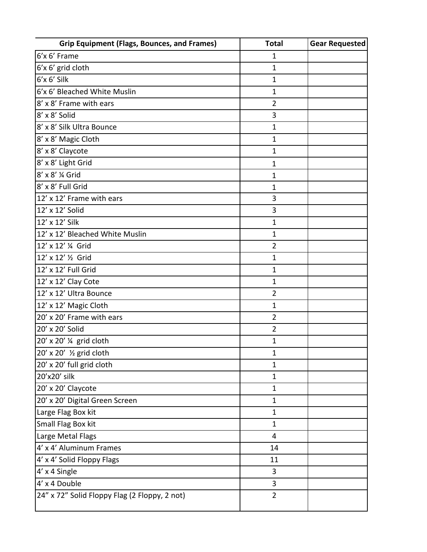| <b>Grip Equipment (Flags, Bounces, and Frames)</b> | <b>Total</b>   | <b>Gear Requested</b> |
|----------------------------------------------------|----------------|-----------------------|
| 6'x 6' Frame                                       | $\mathbf{1}$   |                       |
| 6'x 6' grid cloth                                  | 1              |                       |
| 6'x 6' Silk                                        | $\mathbf{1}$   |                       |
| 6'x 6' Bleached White Muslin                       | $\mathbf{1}$   |                       |
| 8' x 8' Frame with ears                            | $\overline{2}$ |                       |
| 8' x 8' Solid                                      | 3              |                       |
| 8' x 8' Silk Ultra Bounce                          | $\mathbf{1}$   |                       |
| 8' x 8' Magic Cloth                                | $\mathbf{1}$   |                       |
| 8' x 8' Claycote                                   | $\mathbf{1}$   |                       |
| 8' x 8' Light Grid                                 | $\mathbf{1}$   |                       |
| 8' x 8' % Grid                                     | $\mathbf{1}$   |                       |
| 8' x 8' Full Grid                                  | $\mathbf 1$    |                       |
| 12' x 12' Frame with ears                          | 3              |                       |
| 12' x 12' Solid                                    | 3              |                       |
| 12' x 12' Silk                                     | $\mathbf{1}$   |                       |
| 12' x 12' Bleached White Muslin                    | $\mathbf{1}$   |                       |
| 12' x 12' 1/4 Grid                                 | $\overline{2}$ |                       |
| 12' x 12' 1/2 Grid                                 | $\mathbf 1$    |                       |
| 12' x 12' Full Grid                                | $\mathbf{1}$   |                       |
| 12' x 12' Clay Cote                                | $\mathbf{1}$   |                       |
| 12' x 12' Ultra Bounce                             | $\overline{2}$ |                       |
| 12' x 12' Magic Cloth                              | $\mathbf{1}$   |                       |
| 20' x 20' Frame with ears                          | $\overline{2}$ |                       |
| 20' x 20' Solid                                    | $\overline{2}$ |                       |
| 20' x 20' 1/4 grid cloth                           | $\mathbf{1}$   |                       |
| 20' x 20' 1/2 grid cloth                           | $\mathbf{1}$   |                       |
| 20' x 20' full grid cloth                          | $\mathbf{1}$   |                       |
| 20'x20' silk                                       | $\mathbf{1}$   |                       |
| 20' x 20' Claycote                                 | $\mathbf{1}$   |                       |
| 20' x 20' Digital Green Screen                     | $\mathbf{1}$   |                       |
| Large Flag Box kit                                 | $\mathbf{1}$   |                       |
| Small Flag Box kit                                 | $\mathbf{1}$   |                       |
| Large Metal Flags                                  | $\overline{4}$ |                       |
| 4' x 4' Aluminum Frames                            | 14             |                       |
| 4' x 4' Solid Floppy Flags                         | 11             |                       |
| 4' x 4 Single                                      | 3              |                       |
| 4' x 4 Double                                      | 3              |                       |
| 24" x 72" Solid Floppy Flag (2 Floppy, 2 not)      | $\overline{2}$ |                       |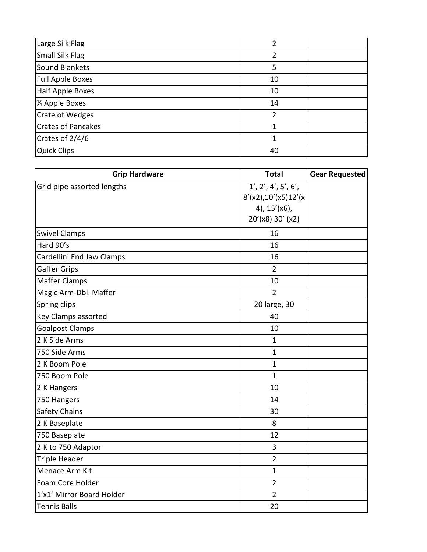| Large Silk Flag           | 2  |  |
|---------------------------|----|--|
| Small Silk Flag           | 2  |  |
| <b>Sound Blankets</b>     | 5  |  |
| <b>Full Apple Boxes</b>   | 10 |  |
| <b>Half Apple Boxes</b>   | 10 |  |
| 1⁄4 Apple Boxes           | 14 |  |
| <b>Crate of Wedges</b>    | C  |  |
| <b>Crates of Pancakes</b> |    |  |
| Crates of 2/4/6           |    |  |
| <b>Quick Clips</b>        | 40 |  |

| <b>Grip Hardware</b>       | <b>Total</b>         | <b>Gear Requested</b> |
|----------------------------|----------------------|-----------------------|
| Grid pipe assorted lengths | 1', 2', 4', 5', 6',  |                       |
|                            | 8'(x2), 10'(x5)12'(x |                       |
|                            | 4), 15'(x6),         |                       |
|                            | 20'(x8) 30' (x2)     |                       |
| <b>Swivel Clamps</b>       | 16                   |                       |
| Hard 90's                  | 16                   |                       |
| Cardellini End Jaw Clamps  | 16                   |                       |
| <b>Gaffer Grips</b>        | $\overline{2}$       |                       |
| <b>Maffer Clamps</b>       | 10                   |                       |
| Magic Arm-Dbl. Maffer      | $\overline{2}$       |                       |
| Spring clips               | 20 large, 30         |                       |
| Key Clamps assorted        | 40                   |                       |
| <b>Goalpost Clamps</b>     | 10                   |                       |
| 2 K Side Arms              | $\mathbf{1}$         |                       |
| 750 Side Arms              | $\mathbf 1$          |                       |
| 2 K Boom Pole              | $\mathbf{1}$         |                       |
| 750 Boom Pole              | $\mathbf{1}$         |                       |
| 2 K Hangers                | 10                   |                       |
| 750 Hangers                | 14                   |                       |
| <b>Safety Chains</b>       | 30                   |                       |
| 2 K Baseplate              | 8                    |                       |
| 750 Baseplate              | 12                   |                       |
| 2 K to 750 Adaptor         | 3                    |                       |
| <b>Triple Header</b>       | $\overline{2}$       |                       |
| Menace Arm Kit             | $\mathbf 1$          |                       |
| Foam Core Holder           | $\overline{2}$       |                       |
| 1'x1' Mirror Board Holder  | $\overline{2}$       |                       |
| <b>Tennis Balls</b>        | 20                   |                       |